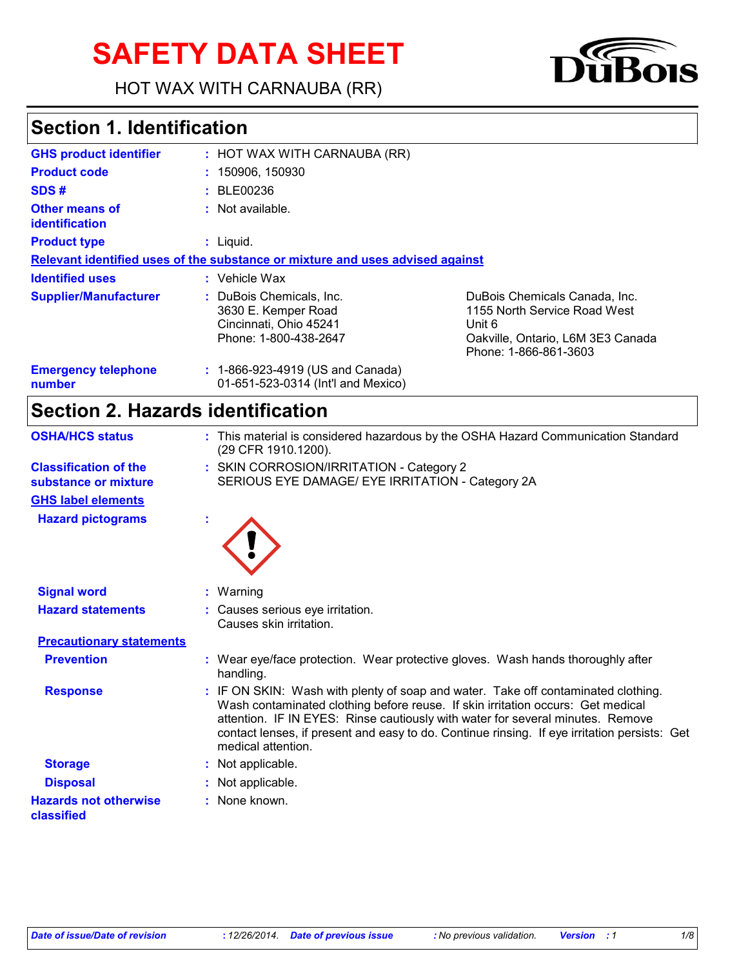# **SAFETY DATA SHEET**

HOT WAX WITH CARNAUBA (RR)



## **Section 1. Identification**

| <b>GHS product identifier</b>        | : HOT WAX WITH CARNAUBA (RR)                                                                       |                                                                                                                                       |
|--------------------------------------|----------------------------------------------------------------------------------------------------|---------------------------------------------------------------------------------------------------------------------------------------|
| <b>Product code</b>                  | : 150906, 150930                                                                                   |                                                                                                                                       |
| SDS#                                 | : BLE00236                                                                                         |                                                                                                                                       |
| Other means of<br>identification     | $:$ Not available.                                                                                 |                                                                                                                                       |
| <b>Product type</b>                  | $:$ Liquid.                                                                                        |                                                                                                                                       |
|                                      | Relevant identified uses of the substance or mixture and uses advised against                      |                                                                                                                                       |
| <b>Identified uses</b>               | $:$ Vehicle Wax                                                                                    |                                                                                                                                       |
| <b>Supplier/Manufacturer</b>         | : DuBois Chemicals, Inc.<br>3630 E. Kemper Road<br>Cincinnati, Ohio 45241<br>Phone: 1-800-438-2647 | DuBois Chemicals Canada, Inc.<br>1155 North Service Road West<br>Unit 6<br>Oakville, Ontario, L6M 3E3 Canada<br>Phone: 1-866-861-3603 |
| <b>Emergency telephone</b><br>number | : 1-866-923-4919 (US and Canada)<br>01-651-523-0314 (Int'l and Mexico)                             |                                                                                                                                       |

# **Section 2. Hazards identification**

| <b>OSHA/HCS status</b>                     | : This material is considered hazardous by the OSHA Hazard Communication Standard<br>(29 CFR 1910.1200).                                                                                                                                                                                                                                                                     |
|--------------------------------------------|------------------------------------------------------------------------------------------------------------------------------------------------------------------------------------------------------------------------------------------------------------------------------------------------------------------------------------------------------------------------------|
| <b>Classification of the</b>               | : SKIN CORROSION/IRRITATION - Category 2                                                                                                                                                                                                                                                                                                                                     |
| substance or mixture                       | SERIOUS EYE DAMAGE/ EYE IRRITATION - Category 2A                                                                                                                                                                                                                                                                                                                             |
| <b>GHS label elements</b>                  |                                                                                                                                                                                                                                                                                                                                                                              |
| <b>Hazard pictograms</b>                   |                                                                                                                                                                                                                                                                                                                                                                              |
| <b>Signal word</b>                         | : Warning                                                                                                                                                                                                                                                                                                                                                                    |
| <b>Hazard statements</b>                   | : Causes serious eye irritation.<br>Causes skin irritation.                                                                                                                                                                                                                                                                                                                  |
| <b>Precautionary statements</b>            |                                                                                                                                                                                                                                                                                                                                                                              |
| <b>Prevention</b>                          | : Wear eye/face protection. Wear protective gloves. Wash hands thoroughly after<br>handling.                                                                                                                                                                                                                                                                                 |
| <b>Response</b>                            | : IF ON SKIN: Wash with plenty of soap and water. Take off contaminated clothing.<br>Wash contaminated clothing before reuse. If skin irritation occurs: Get medical<br>attention. IF IN EYES: Rinse cautiously with water for several minutes. Remove<br>contact lenses, if present and easy to do. Continue rinsing. If eye irritation persists: Get<br>medical attention. |
| <b>Storage</b>                             | : Not applicable.                                                                                                                                                                                                                                                                                                                                                            |
| <b>Disposal</b>                            | : Not applicable.                                                                                                                                                                                                                                                                                                                                                            |
| <b>Hazards not otherwise</b><br>classified | : None known.                                                                                                                                                                                                                                                                                                                                                                |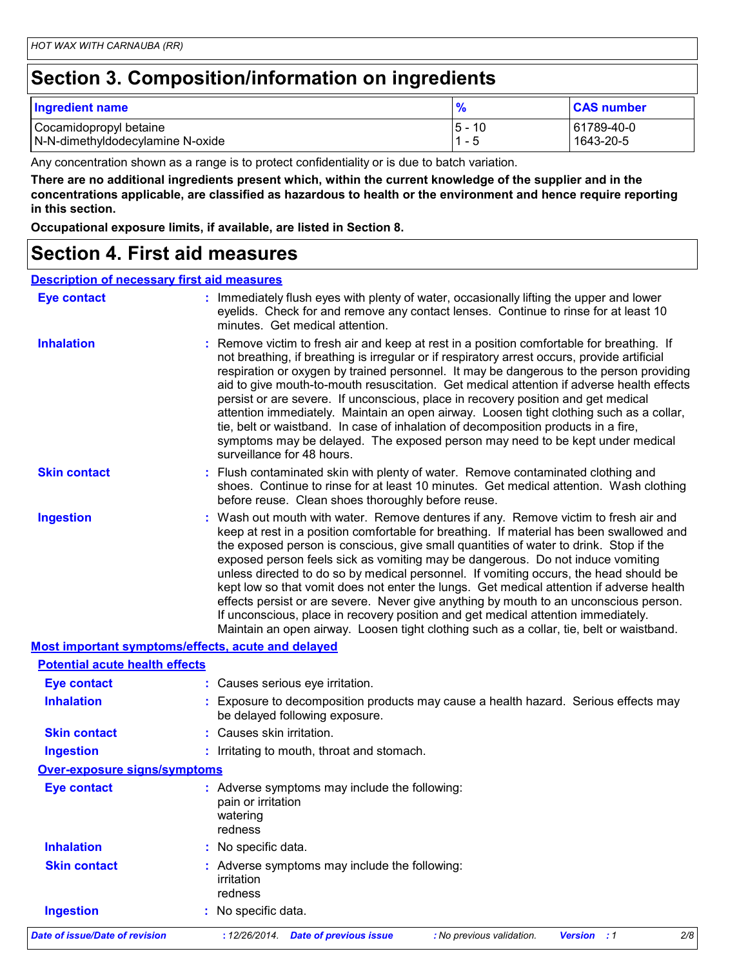## **Section 3. Composition/information on ingredients**

| <b>Ingredient name</b>           | $\frac{9}{6}$          | <b>CAS number</b> |
|----------------------------------|------------------------|-------------------|
| Cocamidopropyl betaine           | 5 -<br>$\overline{10}$ | 61789-40-0        |
| N-N-dimethyldodecylamine N-oxide | ı 1                    | $1643 - 20 - 5$   |

Any concentration shown as a range is to protect confidentiality or is due to batch variation.

**There are no additional ingredients present which, within the current knowledge of the supplier and in the concentrations applicable, are classified as hazardous to health or the environment and hence require reporting in this section.**

**Occupational exposure limits, if available, are listed in Section 8.**

### **Section 4. First aid measures**

#### **Description of necessary first aid measures**

| <b>Eye contact</b>                                 | : Immediately flush eyes with plenty of water, occasionally lifting the upper and lower<br>eyelids. Check for and remove any contact lenses. Continue to rinse for at least 10<br>minutes. Get medical attention.                                                                                                                                                                                                                                                                                                                                                                                                                                                                                                                                                                                                         |
|----------------------------------------------------|---------------------------------------------------------------------------------------------------------------------------------------------------------------------------------------------------------------------------------------------------------------------------------------------------------------------------------------------------------------------------------------------------------------------------------------------------------------------------------------------------------------------------------------------------------------------------------------------------------------------------------------------------------------------------------------------------------------------------------------------------------------------------------------------------------------------------|
| <b>Inhalation</b>                                  | : Remove victim to fresh air and keep at rest in a position comfortable for breathing. If<br>not breathing, if breathing is irregular or if respiratory arrest occurs, provide artificial<br>respiration or oxygen by trained personnel. It may be dangerous to the person providing<br>aid to give mouth-to-mouth resuscitation. Get medical attention if adverse health effects<br>persist or are severe. If unconscious, place in recovery position and get medical<br>attention immediately. Maintain an open airway. Loosen tight clothing such as a collar,<br>tie, belt or waistband. In case of inhalation of decomposition products in a fire,<br>symptoms may be delayed. The exposed person may need to be kept under medical<br>surveillance for 48 hours.                                                    |
| <b>Skin contact</b>                                | : Flush contaminated skin with plenty of water. Remove contaminated clothing and<br>shoes. Continue to rinse for at least 10 minutes. Get medical attention. Wash clothing<br>before reuse. Clean shoes thoroughly before reuse.                                                                                                                                                                                                                                                                                                                                                                                                                                                                                                                                                                                          |
| <b>Ingestion</b>                                   | : Wash out mouth with water. Remove dentures if any. Remove victim to fresh air and<br>keep at rest in a position comfortable for breathing. If material has been swallowed and<br>the exposed person is conscious, give small quantities of water to drink. Stop if the<br>exposed person feels sick as vomiting may be dangerous. Do not induce vomiting<br>unless directed to do so by medical personnel. If vomiting occurs, the head should be<br>kept low so that vomit does not enter the lungs. Get medical attention if adverse health<br>effects persist or are severe. Never give anything by mouth to an unconscious person.<br>If unconscious, place in recovery position and get medical attention immediately.<br>Maintain an open airway. Loosen tight clothing such as a collar, tie, belt or waistband. |
| Most important symptoms/effects, acute and delayed |                                                                                                                                                                                                                                                                                                                                                                                                                                                                                                                                                                                                                                                                                                                                                                                                                           |
| <b>Potential acute health effects</b>              |                                                                                                                                                                                                                                                                                                                                                                                                                                                                                                                                                                                                                                                                                                                                                                                                                           |
| <b>Eye contact</b>                                 | : Causes serious eye irritation.                                                                                                                                                                                                                                                                                                                                                                                                                                                                                                                                                                                                                                                                                                                                                                                          |
| <b>Inhalation</b>                                  | : Exposure to decomposition products may cause a health hazard. Serious effects may<br>be delayed following exposure.                                                                                                                                                                                                                                                                                                                                                                                                                                                                                                                                                                                                                                                                                                     |
| <b>Skin contact</b>                                | : Causes skin irritation.                                                                                                                                                                                                                                                                                                                                                                                                                                                                                                                                                                                                                                                                                                                                                                                                 |
| <b>Ingestion</b>                                   | : Irritating to mouth, throat and stomach.                                                                                                                                                                                                                                                                                                                                                                                                                                                                                                                                                                                                                                                                                                                                                                                |
| <b>Over-exposure signs/symptoms</b>                |                                                                                                                                                                                                                                                                                                                                                                                                                                                                                                                                                                                                                                                                                                                                                                                                                           |
| <b>Eye contact</b>                                 | : Adverse symptoms may include the following:<br>pain or irritation<br>watering<br>redness                                                                                                                                                                                                                                                                                                                                                                                                                                                                                                                                                                                                                                                                                                                                |
|                                                    | <b>ALCOHOL: A PRODUCT</b>                                                                                                                                                                                                                                                                                                                                                                                                                                                                                                                                                                                                                                                                                                                                                                                                 |

**Skin contact Inhalation :** No specific data. Adverse symptoms may include the following: **:** irritation redness

| <b>Ingestion</b> | : No specific data. |
|------------------|---------------------|
|------------------|---------------------|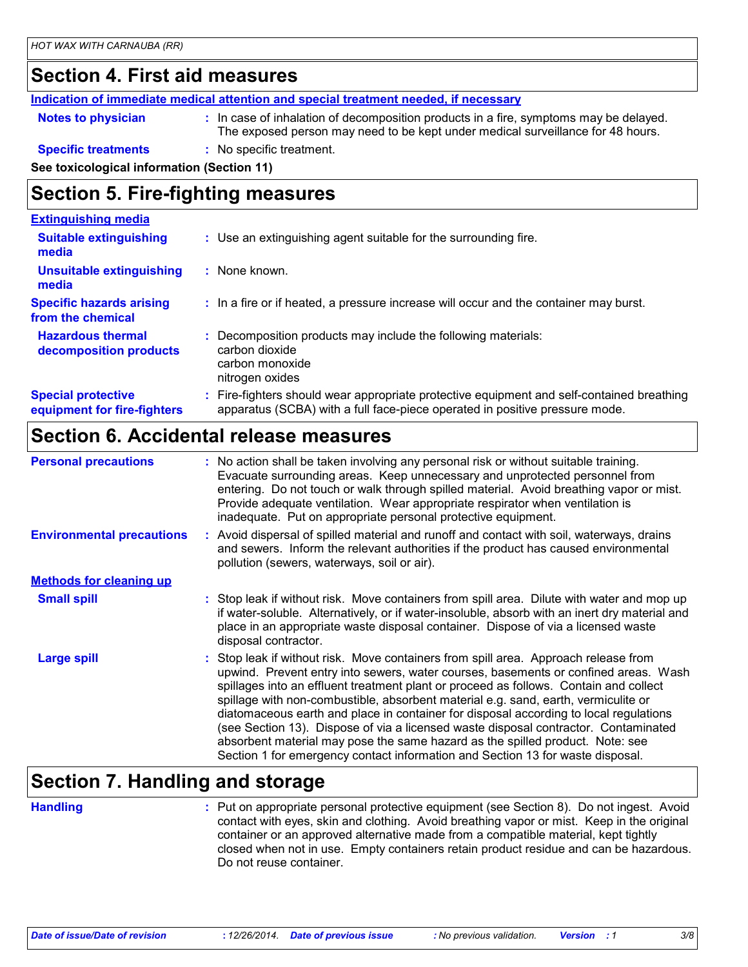### **Section 4. First aid measures**

**Indication of immediate medical attention and special treatment needed, if necessary**

**Notes to physician :** In case of inhalation of decomposition products in a fire, symptoms may be delayed. The exposed person may need to be kept under medical surveillance for 48 hours.

#### **Specific treatments :** No specific treatment.

**See toxicological information (Section 11)**

### **Section 5. Fire-fighting measures**

| <b>Extinguishing media</b>                               |                                                                                                                                                                          |
|----------------------------------------------------------|--------------------------------------------------------------------------------------------------------------------------------------------------------------------------|
| <b>Suitable extinguishing</b><br>media                   | : Use an extinguishing agent suitable for the surrounding fire.                                                                                                          |
| <b>Unsuitable extinguishing</b><br>media                 | : None known.                                                                                                                                                            |
| <b>Specific hazards arising</b><br>from the chemical     | : In a fire or if heated, a pressure increase will occur and the container may burst.                                                                                    |
| <b>Hazardous thermal</b><br>decomposition products       | Decomposition products may include the following materials:<br>carbon dioxide<br>carbon monoxide<br>nitrogen oxides                                                      |
| <b>Special protective</b><br>equipment for fire-fighters | : Fire-fighters should wear appropriate protective equipment and self-contained breathing<br>apparatus (SCBA) with a full face-piece operated in positive pressure mode. |

### **Section 6. Accidental release measures**

| <b>Personal precautions</b>      | : No action shall be taken involving any personal risk or without suitable training.<br>Evacuate surrounding areas. Keep unnecessary and unprotected personnel from<br>entering. Do not touch or walk through spilled material. Avoid breathing vapor or mist.<br>Provide adequate ventilation. Wear appropriate respirator when ventilation is<br>inadequate. Put on appropriate personal protective equipment.                                                                                                                                                                                                                                                                                             |
|----------------------------------|--------------------------------------------------------------------------------------------------------------------------------------------------------------------------------------------------------------------------------------------------------------------------------------------------------------------------------------------------------------------------------------------------------------------------------------------------------------------------------------------------------------------------------------------------------------------------------------------------------------------------------------------------------------------------------------------------------------|
| <b>Environmental precautions</b> | : Avoid dispersal of spilled material and runoff and contact with soil, waterways, drains<br>and sewers. Inform the relevant authorities if the product has caused environmental<br>pollution (sewers, waterways, soil or air).                                                                                                                                                                                                                                                                                                                                                                                                                                                                              |
| <b>Methods for cleaning up</b>   |                                                                                                                                                                                                                                                                                                                                                                                                                                                                                                                                                                                                                                                                                                              |
| <b>Small spill</b>               | : Stop leak if without risk. Move containers from spill area. Dilute with water and mop up<br>if water-soluble. Alternatively, or if water-insoluble, absorb with an inert dry material and<br>place in an appropriate waste disposal container. Dispose of via a licensed waste<br>disposal contractor.                                                                                                                                                                                                                                                                                                                                                                                                     |
| <b>Large spill</b>               | : Stop leak if without risk. Move containers from spill area. Approach release from<br>upwind. Prevent entry into sewers, water courses, basements or confined areas. Wash<br>spillages into an effluent treatment plant or proceed as follows. Contain and collect<br>spillage with non-combustible, absorbent material e.g. sand, earth, vermiculite or<br>diatomaceous earth and place in container for disposal according to local regulations<br>(see Section 13). Dispose of via a licensed waste disposal contractor. Contaminated<br>absorbent material may pose the same hazard as the spilled product. Note: see<br>Section 1 for emergency contact information and Section 13 for waste disposal. |

### **Section 7. Handling and storage**

**Handling** entries a metal on appropriate personal protective equipment (see Section 8). Do not ingest. Avoid and the state of put contact with eyes, skin and clothing. Avoid breathing vapor or mist. Keep in the original container or an approved alternative made from a compatible material, kept tightly closed when not in use. Empty containers retain product residue and can be hazardous. Do not reuse container.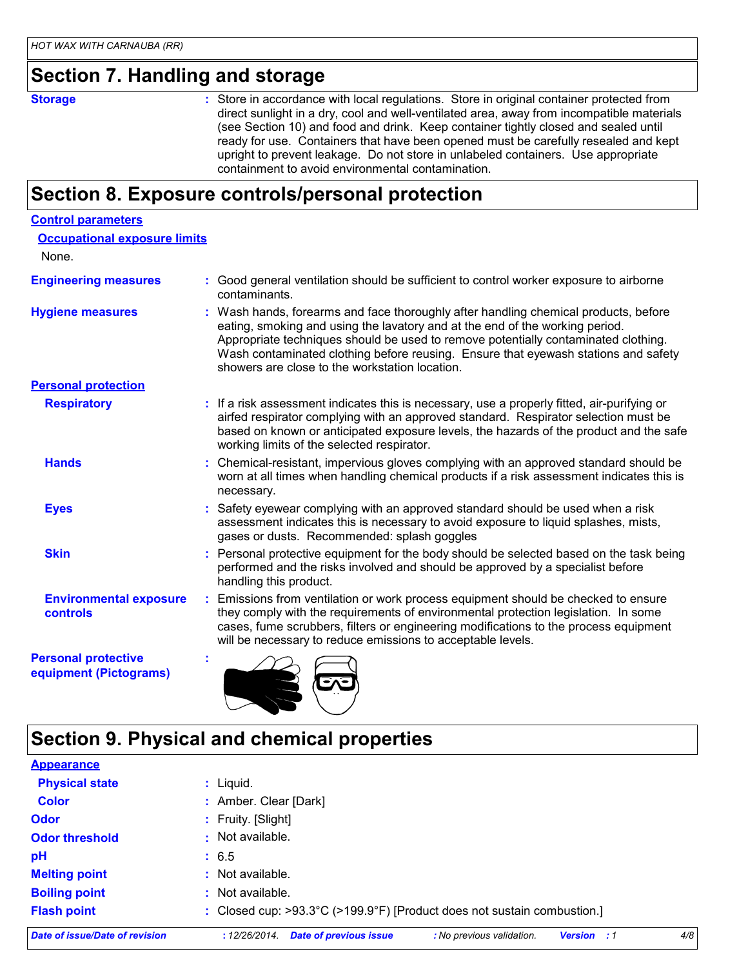### **Section 7. Handling and storage**

**Storage** Store in accordance with local regulations. Store in original container protected from direct sunlight in a dry, cool and well-ventilated area, away from incompatible materials (see Section 10) and food and drink. Keep container tightly closed and sealed until ready for use. Containers that have been opened must be carefully resealed and kept upright to prevent leakage. Do not store in unlabeled containers. Use appropriate containment to avoid environmental contamination.

### **Section 8. Exposure controls/personal protection**

| <b>Control parameters</b>                            |                                                                                                                                                                                                                                                                                                                                                                                                   |
|------------------------------------------------------|---------------------------------------------------------------------------------------------------------------------------------------------------------------------------------------------------------------------------------------------------------------------------------------------------------------------------------------------------------------------------------------------------|
| <b>Occupational exposure limits</b>                  |                                                                                                                                                                                                                                                                                                                                                                                                   |
| None.                                                |                                                                                                                                                                                                                                                                                                                                                                                                   |
| <b>Engineering measures</b>                          | Good general ventilation should be sufficient to control worker exposure to airborne<br>contaminants.                                                                                                                                                                                                                                                                                             |
| <b>Hygiene measures</b>                              | : Wash hands, forearms and face thoroughly after handling chemical products, before<br>eating, smoking and using the lavatory and at the end of the working period.<br>Appropriate techniques should be used to remove potentially contaminated clothing.<br>Wash contaminated clothing before reusing. Ensure that eyewash stations and safety<br>showers are close to the workstation location. |
| <b>Personal protection</b>                           |                                                                                                                                                                                                                                                                                                                                                                                                   |
| <b>Respiratory</b>                                   | : If a risk assessment indicates this is necessary, use a properly fitted, air-purifying or<br>airfed respirator complying with an approved standard. Respirator selection must be<br>based on known or anticipated exposure levels, the hazards of the product and the safe<br>working limits of the selected respirator.                                                                        |
| <b>Hands</b>                                         | Chemical-resistant, impervious gloves complying with an approved standard should be<br>worn at all times when handling chemical products if a risk assessment indicates this is<br>necessary.                                                                                                                                                                                                     |
| <b>Eyes</b>                                          | Safety eyewear complying with an approved standard should be used when a risk<br>assessment indicates this is necessary to avoid exposure to liquid splashes, mists,<br>gases or dusts. Recommended: splash goggles                                                                                                                                                                               |
| <b>Skin</b>                                          | Personal protective equipment for the body should be selected based on the task being<br>performed and the risks involved and should be approved by a specialist before<br>handling this product.                                                                                                                                                                                                 |
| <b>Environmental exposure</b><br>controls            | Emissions from ventilation or work process equipment should be checked to ensure<br>they comply with the requirements of environmental protection legislation. In some<br>cases, fume scrubbers, filters or engineering modifications to the process equipment<br>will be necessary to reduce emissions to acceptable levels.                                                                     |
| <b>Personal protective</b><br>equipment (Pictograms) |                                                                                                                                                                                                                                                                                                                                                                                                   |

# **Section 9. Physical and chemical properties**

| Date of issue/Date of revision | <b>Date of previous issue</b><br>: No previous validation.<br>: 12/26/2014.<br><b>Version</b> : 1 | 4/8 |
|--------------------------------|---------------------------------------------------------------------------------------------------|-----|
| <b>Flash point</b>             | : Closed cup: >93.3°C (>199.9°F) [Product does not sustain combustion.]                           |     |
| <b>Boiling point</b>           | : Not available.                                                                                  |     |
| <b>Melting point</b>           | : Not available.                                                                                  |     |
| pH                             | : 6.5                                                                                             |     |
| <b>Odor threshold</b>          | : Not available.                                                                                  |     |
| <b>Odor</b>                    | : Fruity. [Slight]                                                                                |     |
| <b>Color</b>                   | : Amber. Clear [Dark]                                                                             |     |
| <b>Physical state</b>          | $:$ Liquid.                                                                                       |     |
| <b>Appearance</b>              |                                                                                                   |     |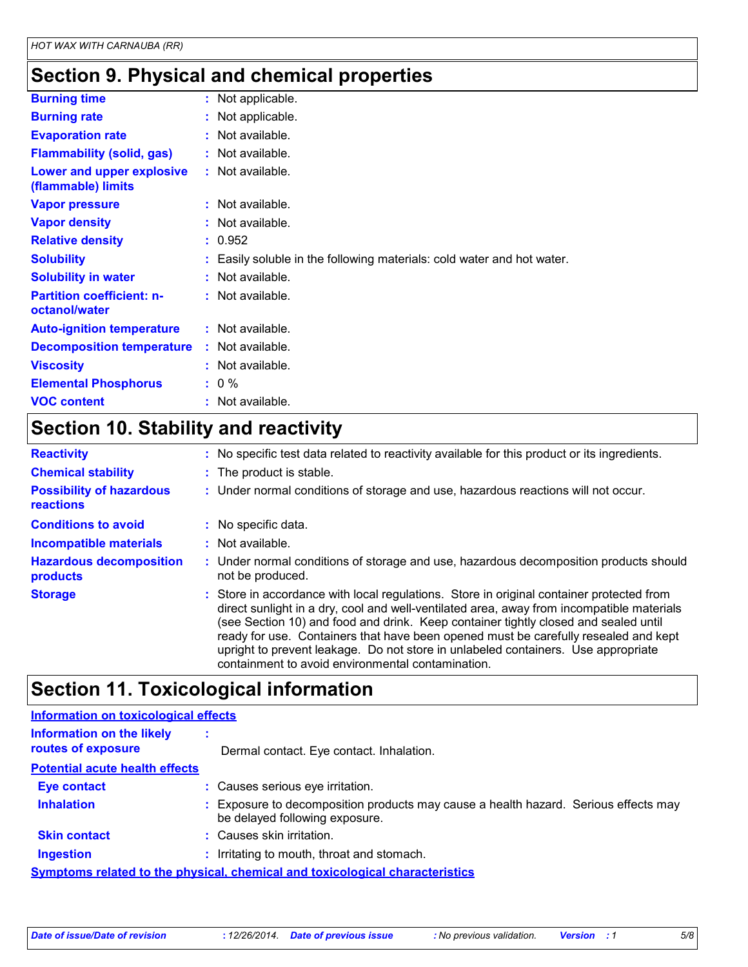# **Section 9. Physical and chemical properties**

| <b>Burning time</b>                               | : Not applicable.                                                      |
|---------------------------------------------------|------------------------------------------------------------------------|
| <b>Burning rate</b>                               | : Not applicable.                                                      |
| <b>Evaporation rate</b>                           | : Not available.                                                       |
| <b>Flammability (solid, gas)</b>                  | : Not available.                                                       |
| Lower and upper explosive<br>(flammable) limits   | : Not available.                                                       |
| <b>Vapor pressure</b>                             | : Not available.                                                       |
| <b>Vapor density</b>                              | : Not available.                                                       |
| <b>Relative density</b>                           | : 0.952                                                                |
| <b>Solubility</b>                                 | : Easily soluble in the following materials: cold water and hot water. |
| <b>Solubility in water</b>                        | : Not available.                                                       |
| <b>Partition coefficient: n-</b><br>octanol/water | : Not available.                                                       |
| <b>Auto-ignition temperature</b>                  | $:$ Not available.                                                     |
| <b>Decomposition temperature</b>                  | : Not available.                                                       |
| <b>Viscosity</b>                                  | : Not available.                                                       |
| <b>Elemental Phosphorus</b>                       | $: 0 \%$                                                               |
| <b>VOC content</b>                                | $:$ Not available.                                                     |

# **Section 10. Stability and reactivity**

| <b>Reactivity</b>                                   | : No specific test data related to reactivity available for this product or its ingredients.                                                                                                                                                                                                                                                                                                                                                                                                                  |
|-----------------------------------------------------|---------------------------------------------------------------------------------------------------------------------------------------------------------------------------------------------------------------------------------------------------------------------------------------------------------------------------------------------------------------------------------------------------------------------------------------------------------------------------------------------------------------|
| <b>Chemical stability</b>                           | : The product is stable.                                                                                                                                                                                                                                                                                                                                                                                                                                                                                      |
| <b>Possibility of hazardous</b><br><b>reactions</b> | : Under normal conditions of storage and use, hazardous reactions will not occur.                                                                                                                                                                                                                                                                                                                                                                                                                             |
| <b>Conditions to avoid</b>                          | : No specific data.                                                                                                                                                                                                                                                                                                                                                                                                                                                                                           |
| <b>Incompatible materials</b>                       | : Not available.                                                                                                                                                                                                                                                                                                                                                                                                                                                                                              |
| <b>Hazardous decomposition</b><br>products          | : Under normal conditions of storage and use, hazardous decomposition products should<br>not be produced.                                                                                                                                                                                                                                                                                                                                                                                                     |
| <b>Storage</b>                                      | : Store in accordance with local regulations. Store in original container protected from<br>direct sunlight in a dry, cool and well-ventilated area, away from incompatible materials<br>(see Section 10) and food and drink. Keep container tightly closed and sealed until<br>ready for use. Containers that have been opened must be carefully resealed and kept<br>upright to prevent leakage. Do not store in unlabeled containers. Use appropriate<br>containment to avoid environmental contamination. |

# **Section 11. Toxicological information**

| <b>Information on toxicological effects</b>                                         |  |                                                                                                                       |  |
|-------------------------------------------------------------------------------------|--|-----------------------------------------------------------------------------------------------------------------------|--|
| <b>Information on the likely</b><br>routes of exposure                              |  | Dermal contact. Eye contact. Inhalation.                                                                              |  |
| <b>Potential acute health effects</b>                                               |  |                                                                                                                       |  |
| <b>Eye contact</b>                                                                  |  | : Causes serious eye irritation.                                                                                      |  |
| <b>Inhalation</b>                                                                   |  | : Exposure to decomposition products may cause a health hazard. Serious effects may<br>be delayed following exposure. |  |
| <b>Skin contact</b>                                                                 |  | : Causes skin irritation.                                                                                             |  |
| <b>Ingestion</b>                                                                    |  | : Irritating to mouth, throat and stomach.                                                                            |  |
| <b>Symptoms related to the physical, chemical and toxicological characteristics</b> |  |                                                                                                                       |  |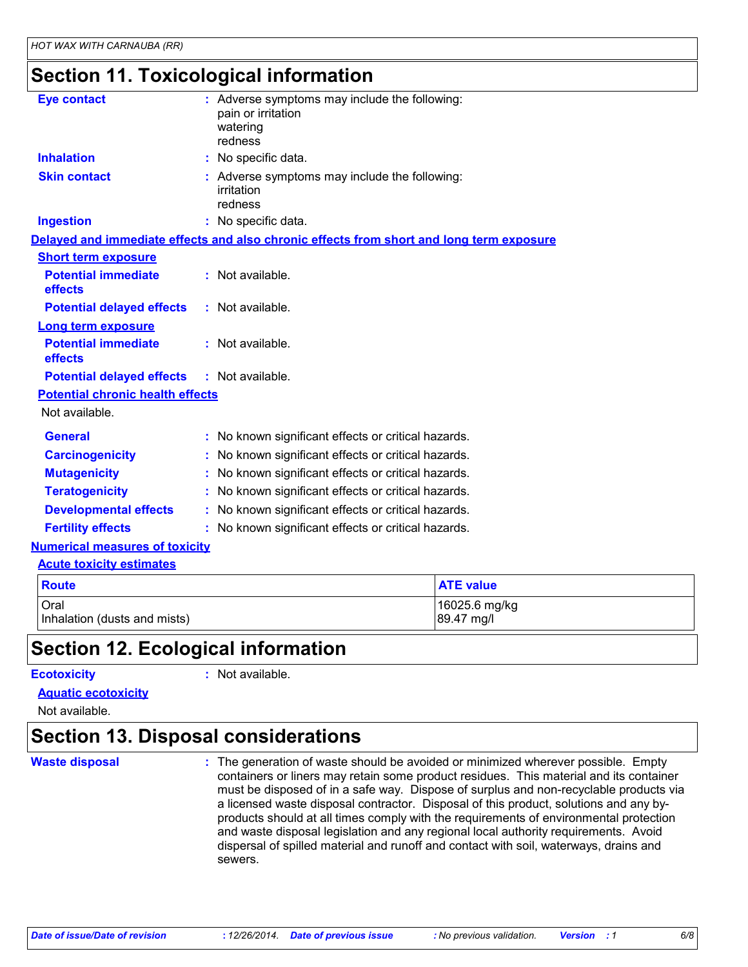### **Section 11. Toxicological information**

| <b>Eye contact</b>                      | : Adverse symptoms may include the following:<br>pain or irritation<br>watering<br>redness |
|-----------------------------------------|--------------------------------------------------------------------------------------------|
| <b>Inhalation</b>                       | : No specific data.                                                                        |
| <b>Skin contact</b>                     | : Adverse symptoms may include the following:<br>irritation<br>redness                     |
| <b>Ingestion</b>                        | : No specific data.                                                                        |
|                                         | Delayed and immediate effects and also chronic effects from short and long term exposure   |
| <b>Short term exposure</b>              |                                                                                            |
| <b>Potential immediate</b><br>effects   | : Not available.                                                                           |
| <b>Potential delayed effects</b>        | : Not available.                                                                           |
| <b>Long term exposure</b>               |                                                                                            |
| <b>Potential immediate</b><br>effects   | : Not available.                                                                           |
| <b>Potential delayed effects</b>        | : Not available.                                                                           |
| <b>Potential chronic health effects</b> |                                                                                            |
| Not available.                          |                                                                                            |
| <b>General</b>                          | : No known significant effects or critical hazards.                                        |
| <b>Carcinogenicity</b>                  | No known significant effects or critical hazards.                                          |
| <b>Mutagenicity</b>                     | : No known significant effects or critical hazards.                                        |
| <b>Teratogenicity</b>                   | : No known significant effects or critical hazards.                                        |
| <b>Developmental effects</b>            | : No known significant effects or critical hazards.                                        |
| <b>Fertility effects</b>                | : No known significant effects or critical hazards.                                        |
| <b>Numerical measures of toxicity</b>   |                                                                                            |
| <b>Acute toxicity estimates</b>         |                                                                                            |

| <b>Route</b>                 | <b>ATE value</b> |
|------------------------------|------------------|
| Oral                         | 16025.6 mg/kg    |
| Inhalation (dusts and mists) | 89.47 mg/l       |

## **Section 12. Ecological information**

### **Ecotoxicity :**

### : Not available.

### **Aquatic ecotoxicity**

Not available.

## **Section 13. Disposal considerations**

### **Waste disposal :**

The generation of waste should be avoided or minimized wherever possible. Empty containers or liners may retain some product residues. This material and its container must be disposed of in a safe way. Dispose of surplus and non-recyclable products via a licensed waste disposal contractor. Disposal of this product, solutions and any byproducts should at all times comply with the requirements of environmental protection and waste disposal legislation and any regional local authority requirements. Avoid dispersal of spilled material and runoff and contact with soil, waterways, drains and sewers.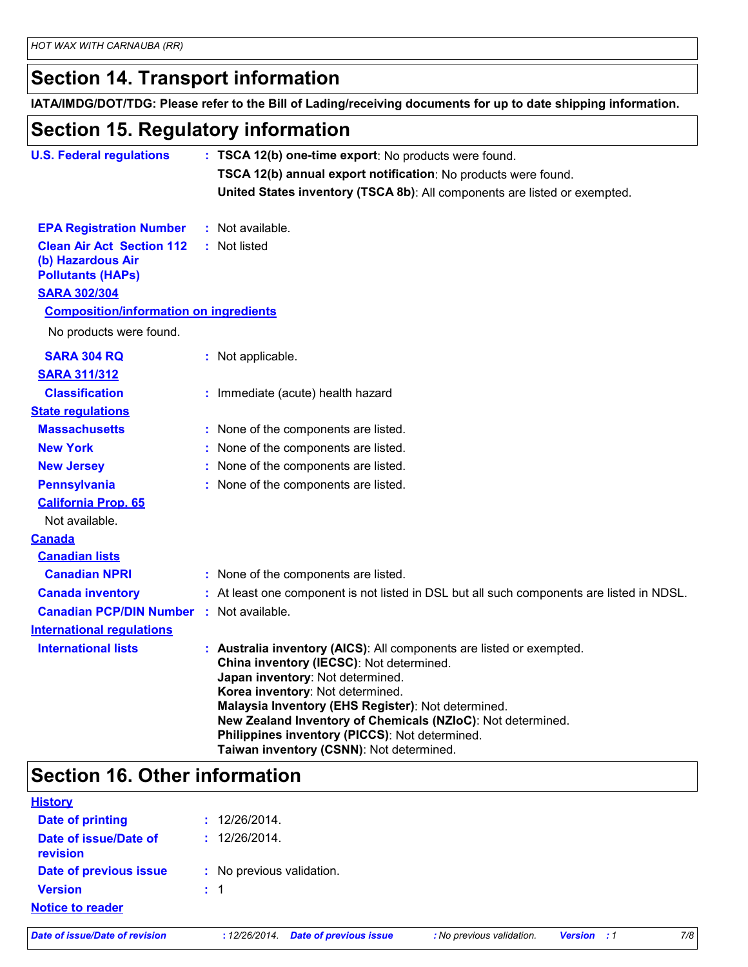## **Section 14. Transport information**

**IATA/IMDG/DOT/TDG: Please refer to the Bill of Lading/receiving documents for up to date shipping information.**

## **Section 15. Regulatory information**

| <b>U.S. Federal regulations</b>                                                                          | : TSCA 12(b) one-time export: No products were found.                                                                                                                                                                                                                                                                                                                                                       |
|----------------------------------------------------------------------------------------------------------|-------------------------------------------------------------------------------------------------------------------------------------------------------------------------------------------------------------------------------------------------------------------------------------------------------------------------------------------------------------------------------------------------------------|
|                                                                                                          | TSCA 12(b) annual export notification: No products were found.                                                                                                                                                                                                                                                                                                                                              |
|                                                                                                          | United States inventory (TSCA 8b): All components are listed or exempted.                                                                                                                                                                                                                                                                                                                                   |
| <b>EPA Registration Number</b>                                                                           | : Not available.                                                                                                                                                                                                                                                                                                                                                                                            |
| <b>Clean Air Act Section 112</b><br>(b) Hazardous Air<br><b>Pollutants (HAPs)</b><br><b>SARA 302/304</b> | : Not listed                                                                                                                                                                                                                                                                                                                                                                                                |
| <b>Composition/information on ingredients</b>                                                            |                                                                                                                                                                                                                                                                                                                                                                                                             |
| No products were found.                                                                                  |                                                                                                                                                                                                                                                                                                                                                                                                             |
| <b>SARA 304 RQ</b><br><b>SARA 311/312</b>                                                                | : Not applicable.                                                                                                                                                                                                                                                                                                                                                                                           |
| <b>Classification</b>                                                                                    | : Immediate (acute) health hazard                                                                                                                                                                                                                                                                                                                                                                           |
| <b>State regulations</b>                                                                                 |                                                                                                                                                                                                                                                                                                                                                                                                             |
| <b>Massachusetts</b>                                                                                     | : None of the components are listed.                                                                                                                                                                                                                                                                                                                                                                        |
| <b>New York</b>                                                                                          | : None of the components are listed.                                                                                                                                                                                                                                                                                                                                                                        |
| <b>New Jersey</b>                                                                                        | : None of the components are listed.                                                                                                                                                                                                                                                                                                                                                                        |
| <b>Pennsylvania</b>                                                                                      | : None of the components are listed.                                                                                                                                                                                                                                                                                                                                                                        |
| <b>California Prop. 65</b><br>Not available.                                                             |                                                                                                                                                                                                                                                                                                                                                                                                             |
| <b>Canada</b>                                                                                            |                                                                                                                                                                                                                                                                                                                                                                                                             |
| <b>Canadian lists</b>                                                                                    |                                                                                                                                                                                                                                                                                                                                                                                                             |
| <b>Canadian NPRI</b>                                                                                     | : None of the components are listed.                                                                                                                                                                                                                                                                                                                                                                        |
| <b>Canada inventory</b>                                                                                  | : At least one component is not listed in DSL but all such components are listed in NDSL.                                                                                                                                                                                                                                                                                                                   |
| <b>Canadian PCP/DIN Number : Not available.</b>                                                          |                                                                                                                                                                                                                                                                                                                                                                                                             |
| <b>International requlations</b>                                                                         |                                                                                                                                                                                                                                                                                                                                                                                                             |
| <b>International lists</b>                                                                               | : Australia inventory (AICS): All components are listed or exempted.<br>China inventory (IECSC): Not determined.<br>Japan inventory: Not determined.<br>Korea inventory: Not determined.<br>Malaysia Inventory (EHS Register): Not determined.<br>New Zealand Inventory of Chemicals (NZIoC): Not determined.<br>Philippines inventory (PICCS): Not determined.<br>Taiwan inventory (CSNN): Not determined. |

## **Section 16. Other information**

| <b>History</b>                    |                           |
|-----------------------------------|---------------------------|
| <b>Date of printing</b>           | : 12/26/2014.             |
| Date of issue/Date of<br>revision | : 12/26/2014.             |
| Date of previous issue            | : No previous validation. |
| <b>Version</b>                    | $\div$ 1                  |
| <b>Notice to reader</b>           |                           |